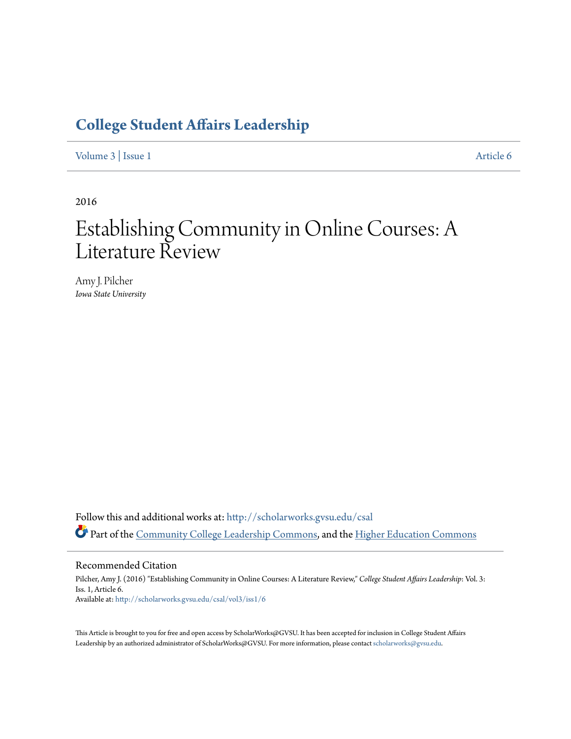## **[College Student Affairs Leadership](http://scholarworks.gvsu.edu/csal?utm_source=scholarworks.gvsu.edu%2Fcsal%2Fvol3%2Fiss1%2F6&utm_medium=PDF&utm_campaign=PDFCoverPages)**

[Volume 3](http://scholarworks.gvsu.edu/csal/vol3?utm_source=scholarworks.gvsu.edu%2Fcsal%2Fvol3%2Fiss1%2F6&utm_medium=PDF&utm_campaign=PDFCoverPages) | [Issue 1](http://scholarworks.gvsu.edu/csal/vol3/iss1?utm_source=scholarworks.gvsu.edu%2Fcsal%2Fvol3%2Fiss1%2F6&utm_medium=PDF&utm_campaign=PDFCoverPages) [Article 6](http://scholarworks.gvsu.edu/csal/vol3/iss1/6?utm_source=scholarworks.gvsu.edu%2Fcsal%2Fvol3%2Fiss1%2F6&utm_medium=PDF&utm_campaign=PDFCoverPages)

2016

# Establishing Community in Online Courses: A Literature Review

Amy J. Pilcher *Iowa State University*

Follow this and additional works at: [http://scholarworks.gvsu.edu/csal](http://scholarworks.gvsu.edu/csal?utm_source=scholarworks.gvsu.edu%2Fcsal%2Fvol3%2Fiss1%2F6&utm_medium=PDF&utm_campaign=PDFCoverPages) Part of the [Community College Leadership Commons](http://network.bepress.com/hgg/discipline/1039?utm_source=scholarworks.gvsu.edu%2Fcsal%2Fvol3%2Fiss1%2F6&utm_medium=PDF&utm_campaign=PDFCoverPages), and the [Higher Education Commons](http://network.bepress.com/hgg/discipline/1245?utm_source=scholarworks.gvsu.edu%2Fcsal%2Fvol3%2Fiss1%2F6&utm_medium=PDF&utm_campaign=PDFCoverPages)

Recommended Citation

Pilcher, Amy J. (2016) "Establishing Community in Online Courses: A Literature Review," *College Student Affairs Leadership*: Vol. 3: Iss. 1, Article 6. Available at: [http://scholarworks.gvsu.edu/csal/vol3/iss1/6](http://scholarworks.gvsu.edu/csal/vol3/iss1/6?utm_source=scholarworks.gvsu.edu%2Fcsal%2Fvol3%2Fiss1%2F6&utm_medium=PDF&utm_campaign=PDFCoverPages)

This Article is brought to you for free and open access by ScholarWorks@GVSU. It has been accepted for inclusion in College Student Affairs Leadership by an authorized administrator of ScholarWorks@GVSU. For more information, please contact [scholarworks@gvsu.edu](mailto:scholarworks@gvsu.edu).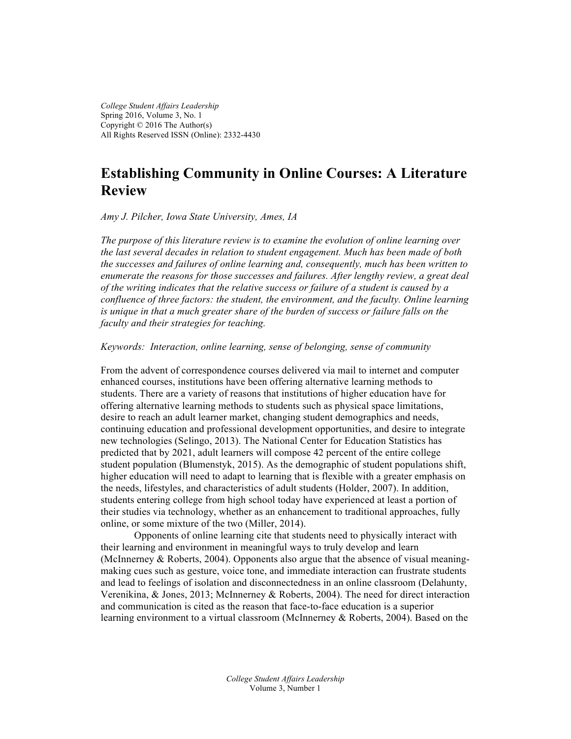*College Student Affairs Leadership* Spring 2016, Volume 3, No. 1 Copyright © 2016 The Author(s) All Rights Reserved ISSN (Online): 2332-4430

### **Establishing Community in Online Courses: A Literature Review**

*Amy J. Pilcher, Iowa State University, Ames, IA*

*The purpose of this literature review is to examine the evolution of online learning over the last several decades in relation to student engagement. Much has been made of both the successes and failures of online learning and, consequently, much has been written to enumerate the reasons for those successes and failures. After lengthy review, a great deal of the writing indicates that the relative success or failure of a student is caused by a confluence of three factors: the student, the environment, and the faculty. Online learning*  is unique in that a much greater share of the burden of success or failure falls on the *faculty and their strategies for teaching.*

*Keywords: Interaction, online learning, sense of belonging, sense of community*

From the advent of correspondence courses delivered via mail to internet and computer enhanced courses, institutions have been offering alternative learning methods to students. There are a variety of reasons that institutions of higher education have for offering alternative learning methods to students such as physical space limitations, desire to reach an adult learner market, changing student demographics and needs, continuing education and professional development opportunities, and desire to integrate new technologies (Selingo, 2013). The National Center for Education Statistics has predicted that by 2021, adult learners will compose 42 percent of the entire college student population (Blumenstyk, 2015). As the demographic of student populations shift, higher education will need to adapt to learning that is flexible with a greater emphasis on the needs, lifestyles, and characteristics of adult students (Holder, 2007). In addition, students entering college from high school today have experienced at least a portion of their studies via technology, whether as an enhancement to traditional approaches, fully online, or some mixture of the two (Miller, 2014).

Opponents of online learning cite that students need to physically interact with their learning and environment in meaningful ways to truly develop and learn (McInnerney & Roberts, 2004). Opponents also argue that the absence of visual meaningmaking cues such as gesture, voice tone, and immediate interaction can frustrate students and lead to feelings of isolation and disconnectedness in an online classroom (Delahunty, Verenikina, & Jones, 2013; McInnerney & Roberts, 2004). The need for direct interaction and communication is cited as the reason that face-to-face education is a superior learning environment to a virtual classroom (McInnerney & Roberts, 2004). Based on the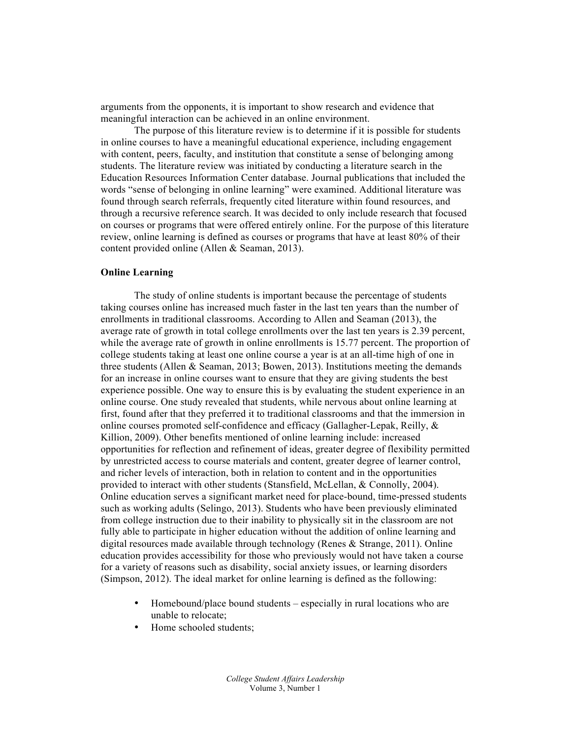arguments from the opponents, it is important to show research and evidence that meaningful interaction can be achieved in an online environment.

The purpose of this literature review is to determine if it is possible for students in online courses to have a meaningful educational experience, including engagement with content, peers, faculty, and institution that constitute a sense of belonging among students. The literature review was initiated by conducting a literature search in the Education Resources Information Center database. Journal publications that included the words "sense of belonging in online learning" were examined. Additional literature was found through search referrals, frequently cited literature within found resources, and through a recursive reference search. It was decided to only include research that focused on courses or programs that were offered entirely online. For the purpose of this literature review, online learning is defined as courses or programs that have at least 80% of their content provided online (Allen & Seaman, 2013).

#### **Online Learning**

The study of online students is important because the percentage of students taking courses online has increased much faster in the last ten years than the number of enrollments in traditional classrooms. According to Allen and Seaman (2013), the average rate of growth in total college enrollments over the last ten years is 2.39 percent, while the average rate of growth in online enrollments is 15.77 percent. The proportion of college students taking at least one online course a year is at an all-time high of one in three students (Allen  $\&$  Seaman, 2013; Bowen, 2013). Institutions meeting the demands for an increase in online courses want to ensure that they are giving students the best experience possible. One way to ensure this is by evaluating the student experience in an online course. One study revealed that students, while nervous about online learning at first, found after that they preferred it to traditional classrooms and that the immersion in online courses promoted self-confidence and efficacy (Gallagher-Lepak, Reilly, & Killion, 2009). Other benefits mentioned of online learning include: increased opportunities for reflection and refinement of ideas, greater degree of flexibility permitted by unrestricted access to course materials and content, greater degree of learner control, and richer levels of interaction, both in relation to content and in the opportunities provided to interact with other students (Stansfield, McLellan, & Connolly, 2004). Online education serves a significant market need for place-bound, time-pressed students such as working adults (Selingo, 2013). Students who have been previously eliminated from college instruction due to their inability to physically sit in the classroom are not fully able to participate in higher education without the addition of online learning and digital resources made available through technology (Renes  $\&$  Strange, 2011). Online education provides accessibility for those who previously would not have taken a course for a variety of reasons such as disability, social anxiety issues, or learning disorders (Simpson, 2012). The ideal market for online learning is defined as the following:

- Homebound/place bound students especially in rural locations who are unable to relocate;
- Home schooled students;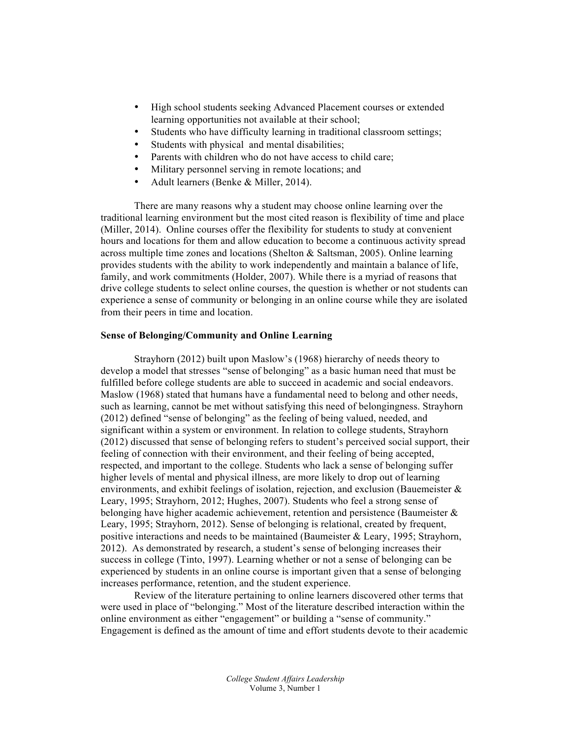- High school students seeking Advanced Placement courses or extended learning opportunities not available at their school;
- Students who have difficulty learning in traditional classroom settings;
- Students with physical and mental disabilities;
- Parents with children who do not have access to child care;
- Military personnel serving in remote locations; and
- Adult learners (Benke & Miller, 2014).

There are many reasons why a student may choose online learning over the traditional learning environment but the most cited reason is flexibility of time and place (Miller, 2014). Online courses offer the flexibility for students to study at convenient hours and locations for them and allow education to become a continuous activity spread across multiple time zones and locations (Shelton & Saltsman, 2005). Online learning provides students with the ability to work independently and maintain a balance of life, family, and work commitments (Holder, 2007). While there is a myriad of reasons that drive college students to select online courses, the question is whether or not students can experience a sense of community or belonging in an online course while they are isolated from their peers in time and location.

#### **Sense of Belonging/Community and Online Learning**

Strayhorn (2012) built upon Maslow's (1968) hierarchy of needs theory to develop a model that stresses "sense of belonging" as a basic human need that must be fulfilled before college students are able to succeed in academic and social endeavors. Maslow (1968) stated that humans have a fundamental need to belong and other needs, such as learning, cannot be met without satisfying this need of belongingness. Strayhorn (2012) defined "sense of belonging" as the feeling of being valued, needed, and significant within a system or environment. In relation to college students, Strayhorn (2012) discussed that sense of belonging refers to student's perceived social support, their feeling of connection with their environment, and their feeling of being accepted, respected, and important to the college. Students who lack a sense of belonging suffer higher levels of mental and physical illness, are more likely to drop out of learning environments, and exhibit feelings of isolation, rejection, and exclusion (Bauemeister & Leary, 1995; Strayhorn, 2012; Hughes, 2007). Students who feel a strong sense of belonging have higher academic achievement, retention and persistence (Baumeister & Leary, 1995; Strayhorn, 2012). Sense of belonging is relational, created by frequent, positive interactions and needs to be maintained (Baumeister & Leary, 1995; Strayhorn, 2012). As demonstrated by research, a student's sense of belonging increases their success in college (Tinto, 1997). Learning whether or not a sense of belonging can be experienced by students in an online course is important given that a sense of belonging increases performance, retention, and the student experience.

Review of the literature pertaining to online learners discovered other terms that were used in place of "belonging." Most of the literature described interaction within the online environment as either "engagement" or building a "sense of community." Engagement is defined as the amount of time and effort students devote to their academic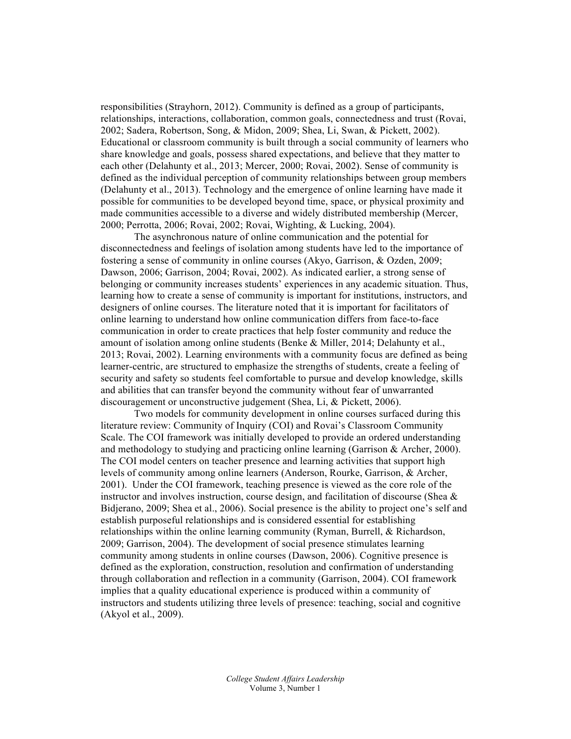responsibilities (Strayhorn, 2012). Community is defined as a group of participants, relationships, interactions, collaboration, common goals, connectedness and trust (Rovai, 2002; Sadera, Robertson, Song, & Midon, 2009; Shea, Li, Swan, & Pickett, 2002). Educational or classroom community is built through a social community of learners who share knowledge and goals, possess shared expectations, and believe that they matter to each other (Delahunty et al., 2013; Mercer, 2000; Rovai, 2002). Sense of community is defined as the individual perception of community relationships between group members (Delahunty et al., 2013). Technology and the emergence of online learning have made it possible for communities to be developed beyond time, space, or physical proximity and made communities accessible to a diverse and widely distributed membership (Mercer, 2000; Perrotta, 2006; Rovai, 2002; Rovai, Wighting, & Lucking, 2004).

The asynchronous nature of online communication and the potential for disconnectedness and feelings of isolation among students have led to the importance of fostering a sense of community in online courses (Akyo, Garrison, & Ozden, 2009; Dawson, 2006; Garrison, 2004; Rovai, 2002). As indicated earlier, a strong sense of belonging or community increases students' experiences in any academic situation. Thus, learning how to create a sense of community is important for institutions, instructors, and designers of online courses. The literature noted that it is important for facilitators of online learning to understand how online communication differs from face-to-face communication in order to create practices that help foster community and reduce the amount of isolation among online students (Benke & Miller, 2014; Delahunty et al., 2013; Rovai, 2002). Learning environments with a community focus are defined as being learner-centric, are structured to emphasize the strengths of students, create a feeling of security and safety so students feel comfortable to pursue and develop knowledge, skills and abilities that can transfer beyond the community without fear of unwarranted discouragement or unconstructive judgement (Shea, Li, & Pickett, 2006).

Two models for community development in online courses surfaced during this literature review: Community of Inquiry (COI) and Rovai's Classroom Community Scale. The COI framework was initially developed to provide an ordered understanding and methodology to studying and practicing online learning (Garrison  $\&$  Archer, 2000). The COI model centers on teacher presence and learning activities that support high levels of community among online learners (Anderson, Rourke, Garrison, & Archer, 2001). Under the COI framework, teaching presence is viewed as the core role of the instructor and involves instruction, course design, and facilitation of discourse (Shea & Bidjerano, 2009; Shea et al., 2006). Social presence is the ability to project one's self and establish purposeful relationships and is considered essential for establishing relationships within the online learning community (Ryman, Burrell, & Richardson, 2009; Garrison, 2004). The development of social presence stimulates learning community among students in online courses (Dawson, 2006). Cognitive presence is defined as the exploration, construction, resolution and confirmation of understanding through collaboration and reflection in a community (Garrison, 2004). COI framework implies that a quality educational experience is produced within a community of instructors and students utilizing three levels of presence: teaching, social and cognitive (Akyol et al., 2009).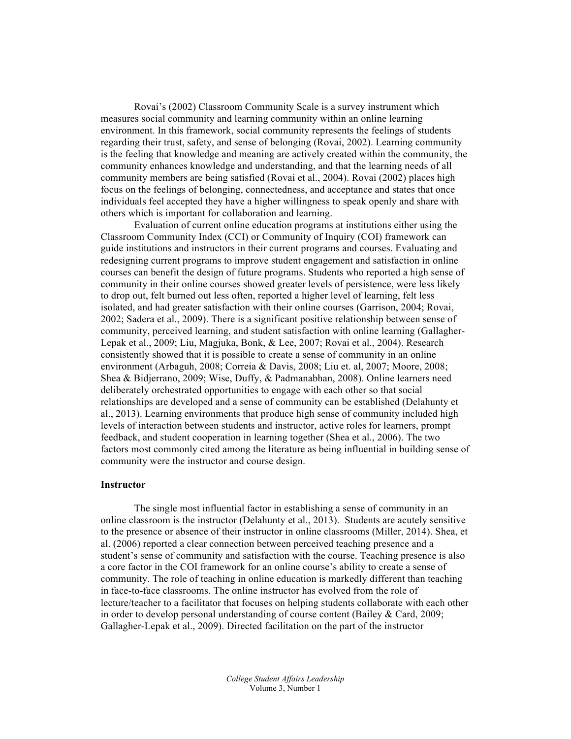Rovai's (2002) Classroom Community Scale is a survey instrument which measures social community and learning community within an online learning environment. In this framework, social community represents the feelings of students regarding their trust, safety, and sense of belonging (Rovai, 2002). Learning community is the feeling that knowledge and meaning are actively created within the community, the community enhances knowledge and understanding, and that the learning needs of all community members are being satisfied (Rovai et al., 2004). Rovai (2002) places high focus on the feelings of belonging, connectedness, and acceptance and states that once individuals feel accepted they have a higher willingness to speak openly and share with others which is important for collaboration and learning.

Evaluation of current online education programs at institutions either using the Classroom Community Index (CCI) or Community of Inquiry (COI) framework can guide institutions and instructors in their current programs and courses. Evaluating and redesigning current programs to improve student engagement and satisfaction in online courses can benefit the design of future programs. Students who reported a high sense of community in their online courses showed greater levels of persistence, were less likely to drop out, felt burned out less often, reported a higher level of learning, felt less isolated, and had greater satisfaction with their online courses (Garrison, 2004; Rovai, 2002; Sadera et al., 2009). There is a significant positive relationship between sense of community, perceived learning, and student satisfaction with online learning (Gallagher-Lepak et al., 2009; Liu, Magjuka, Bonk, & Lee, 2007; Rovai et al., 2004). Research consistently showed that it is possible to create a sense of community in an online environment (Arbaguh, 2008; Correia & Davis, 2008; Liu et. al, 2007; Moore, 2008; Shea & Bidjerrano, 2009; Wise, Duffy, & Padmanabhan, 2008). Online learners need deliberately orchestrated opportunities to engage with each other so that social relationships are developed and a sense of community can be established (Delahunty et al., 2013). Learning environments that produce high sense of community included high levels of interaction between students and instructor, active roles for learners, prompt feedback, and student cooperation in learning together (Shea et al., 2006). The two factors most commonly cited among the literature as being influential in building sense of community were the instructor and course design.

#### **Instructor**

The single most influential factor in establishing a sense of community in an online classroom is the instructor (Delahunty et al., 2013). Students are acutely sensitive to the presence or absence of their instructor in online classrooms (Miller, 2014). Shea, et al. (2006) reported a clear connection between perceived teaching presence and a student's sense of community and satisfaction with the course. Teaching presence is also a core factor in the COI framework for an online course's ability to create a sense of community. The role of teaching in online education is markedly different than teaching in face-to-face classrooms. The online instructor has evolved from the role of lecture/teacher to a facilitator that focuses on helping students collaborate with each other in order to develop personal understanding of course content (Bailey & Card, 2009; Gallagher-Lepak et al., 2009). Directed facilitation on the part of the instructor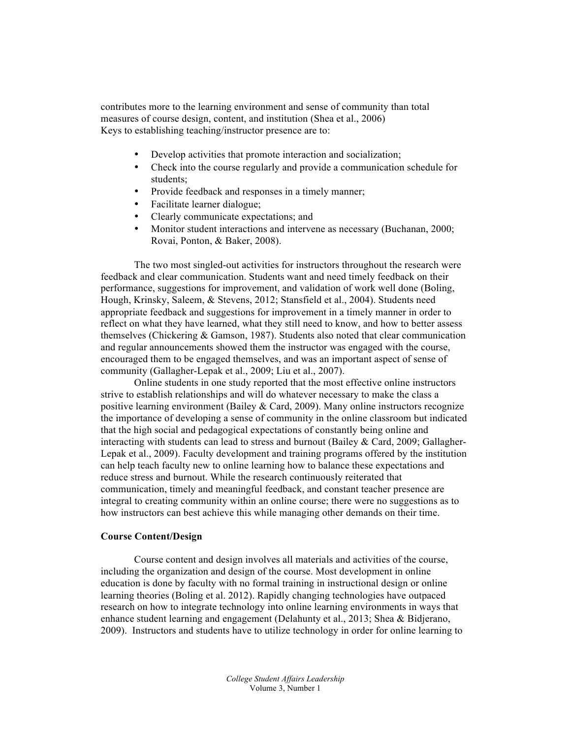contributes more to the learning environment and sense of community than total measures of course design, content, and institution (Shea et al., 2006) Keys to establishing teaching/instructor presence are to:

- Develop activities that promote interaction and socialization;
- Check into the course regularly and provide a communication schedule for students;
- Provide feedback and responses in a timely manner;
- Facilitate learner dialogue;
- Clearly communicate expectations; and
- Monitor student interactions and intervene as necessary (Buchanan, 2000; Rovai, Ponton, & Baker, 2008).

The two most singled-out activities for instructors throughout the research were feedback and clear communication. Students want and need timely feedback on their performance, suggestions for improvement, and validation of work well done (Boling, Hough, Krinsky, Saleem, & Stevens, 2012; Stansfield et al., 2004). Students need appropriate feedback and suggestions for improvement in a timely manner in order to reflect on what they have learned, what they still need to know, and how to better assess themselves (Chickering & Gamson, 1987). Students also noted that clear communication and regular announcements showed them the instructor was engaged with the course, encouraged them to be engaged themselves, and was an important aspect of sense of community (Gallagher-Lepak et al., 2009; Liu et al., 2007).

Online students in one study reported that the most effective online instructors strive to establish relationships and will do whatever necessary to make the class a positive learning environment (Bailey  $& Card, 2009$ ). Many online instructors recognize the importance of developing a sense of community in the online classroom but indicated that the high social and pedagogical expectations of constantly being online and interacting with students can lead to stress and burnout (Bailey & Card, 2009; Gallagher-Lepak et al., 2009). Faculty development and training programs offered by the institution can help teach faculty new to online learning how to balance these expectations and reduce stress and burnout. While the research continuously reiterated that communication, timely and meaningful feedback, and constant teacher presence are integral to creating community within an online course; there were no suggestions as to how instructors can best achieve this while managing other demands on their time.

#### **Course Content/Design**

Course content and design involves all materials and activities of the course, including the organization and design of the course. Most development in online education is done by faculty with no formal training in instructional design or online learning theories (Boling et al. 2012). Rapidly changing technologies have outpaced research on how to integrate technology into online learning environments in ways that enhance student learning and engagement (Delahunty et al., 2013; Shea & Bidjerano, 2009). Instructors and students have to utilize technology in order for online learning to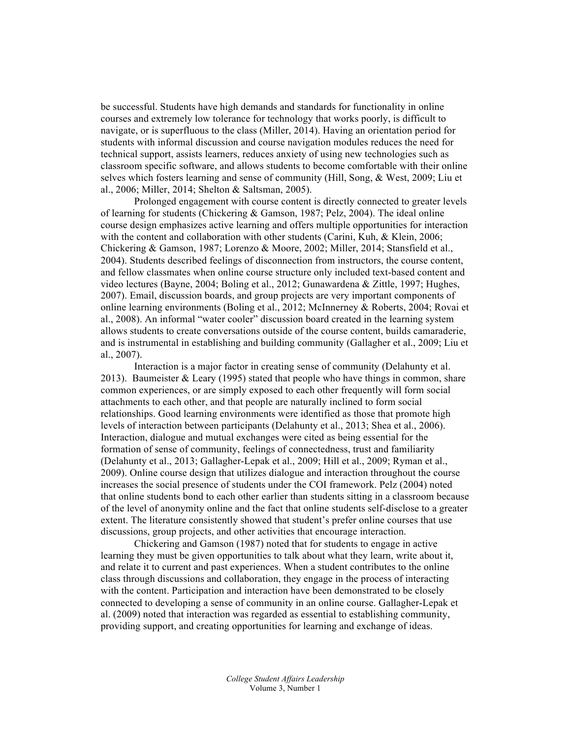be successful. Students have high demands and standards for functionality in online courses and extremely low tolerance for technology that works poorly, is difficult to navigate, or is superfluous to the class (Miller, 2014). Having an orientation period for students with informal discussion and course navigation modules reduces the need for technical support, assists learners, reduces anxiety of using new technologies such as classroom specific software, and allows students to become comfortable with their online selves which fosters learning and sense of community (Hill, Song, & West, 2009; Liu et al., 2006; Miller, 2014; Shelton & Saltsman, 2005).

Prolonged engagement with course content is directly connected to greater levels of learning for students (Chickering & Gamson, 1987; Pelz, 2004). The ideal online course design emphasizes active learning and offers multiple opportunities for interaction with the content and collaboration with other students (Carini, Kuh, & Klein, 2006; Chickering & Gamson, 1987; Lorenzo & Moore, 2002; Miller, 2014; Stansfield et al., 2004). Students described feelings of disconnection from instructors, the course content, and fellow classmates when online course structure only included text-based content and video lectures (Bayne, 2004; Boling et al., 2012; Gunawardena & Zittle, 1997; Hughes, 2007). Email, discussion boards, and group projects are very important components of online learning environments (Boling et al., 2012; McInnerney & Roberts, 2004; Rovai et al., 2008). An informal "water cooler" discussion board created in the learning system allows students to create conversations outside of the course content, builds camaraderie, and is instrumental in establishing and building community (Gallagher et al., 2009; Liu et al., 2007).

Interaction is a major factor in creating sense of community (Delahunty et al. 2013). Baumeister & Leary (1995) stated that people who have things in common, share common experiences, or are simply exposed to each other frequently will form social attachments to each other, and that people are naturally inclined to form social relationships. Good learning environments were identified as those that promote high levels of interaction between participants (Delahunty et al., 2013; Shea et al., 2006). Interaction, dialogue and mutual exchanges were cited as being essential for the formation of sense of community, feelings of connectedness, trust and familiarity (Delahunty et al., 2013; Gallagher-Lepak et al., 2009; Hill et al., 2009; Ryman et al., 2009). Online course design that utilizes dialogue and interaction throughout the course increases the social presence of students under the COI framework. Pelz (2004) noted that online students bond to each other earlier than students sitting in a classroom because of the level of anonymity online and the fact that online students self-disclose to a greater extent. The literature consistently showed that student's prefer online courses that use discussions, group projects, and other activities that encourage interaction.

Chickering and Gamson (1987) noted that for students to engage in active learning they must be given opportunities to talk about what they learn, write about it, and relate it to current and past experiences. When a student contributes to the online class through discussions and collaboration, they engage in the process of interacting with the content. Participation and interaction have been demonstrated to be closely connected to developing a sense of community in an online course. Gallagher-Lepak et al. (2009) noted that interaction was regarded as essential to establishing community, providing support, and creating opportunities for learning and exchange of ideas.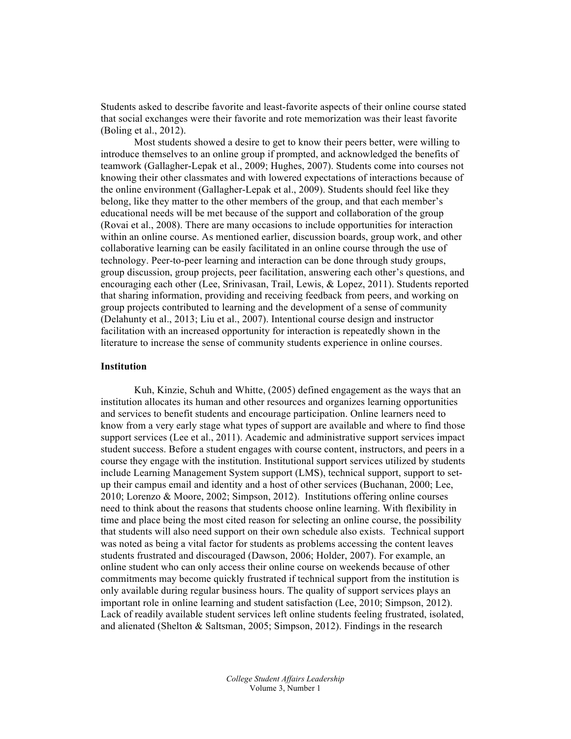Students asked to describe favorite and least-favorite aspects of their online course stated that social exchanges were their favorite and rote memorization was their least favorite (Boling et al., 2012).

Most students showed a desire to get to know their peers better, were willing to introduce themselves to an online group if prompted, and acknowledged the benefits of teamwork (Gallagher-Lepak et al., 2009; Hughes, 2007). Students come into courses not knowing their other classmates and with lowered expectations of interactions because of the online environment (Gallagher-Lepak et al., 2009). Students should feel like they belong, like they matter to the other members of the group, and that each member's educational needs will be met because of the support and collaboration of the group (Rovai et al., 2008). There are many occasions to include opportunities for interaction within an online course. As mentioned earlier, discussion boards, group work, and other collaborative learning can be easily facilitated in an online course through the use of technology. Peer-to-peer learning and interaction can be done through study groups, group discussion, group projects, peer facilitation, answering each other's questions, and encouraging each other (Lee, Srinivasan, Trail, Lewis, & Lopez, 2011). Students reported that sharing information, providing and receiving feedback from peers, and working on group projects contributed to learning and the development of a sense of community (Delahunty et al., 2013; Liu et al., 2007). Intentional course design and instructor facilitation with an increased opportunity for interaction is repeatedly shown in the literature to increase the sense of community students experience in online courses.

#### **Institution**

Kuh, Kinzie, Schuh and Whitte, (2005) defined engagement as the ways that an institution allocates its human and other resources and organizes learning opportunities and services to benefit students and encourage participation. Online learners need to know from a very early stage what types of support are available and where to find those support services (Lee et al., 2011). Academic and administrative support services impact student success. Before a student engages with course content, instructors, and peers in a course they engage with the institution. Institutional support services utilized by students include Learning Management System support (LMS), technical support, support to setup their campus email and identity and a host of other services (Buchanan, 2000; Lee, 2010; Lorenzo & Moore, 2002; Simpson, 2012). Institutions offering online courses need to think about the reasons that students choose online learning. With flexibility in time and place being the most cited reason for selecting an online course, the possibility that students will also need support on their own schedule also exists. Technical support was noted as being a vital factor for students as problems accessing the content leaves students frustrated and discouraged (Dawson, 2006; Holder, 2007). For example, an online student who can only access their online course on weekends because of other commitments may become quickly frustrated if technical support from the institution is only available during regular business hours. The quality of support services plays an important role in online learning and student satisfaction (Lee, 2010; Simpson, 2012). Lack of readily available student services left online students feeling frustrated, isolated, and alienated (Shelton & Saltsman, 2005; Simpson, 2012). Findings in the research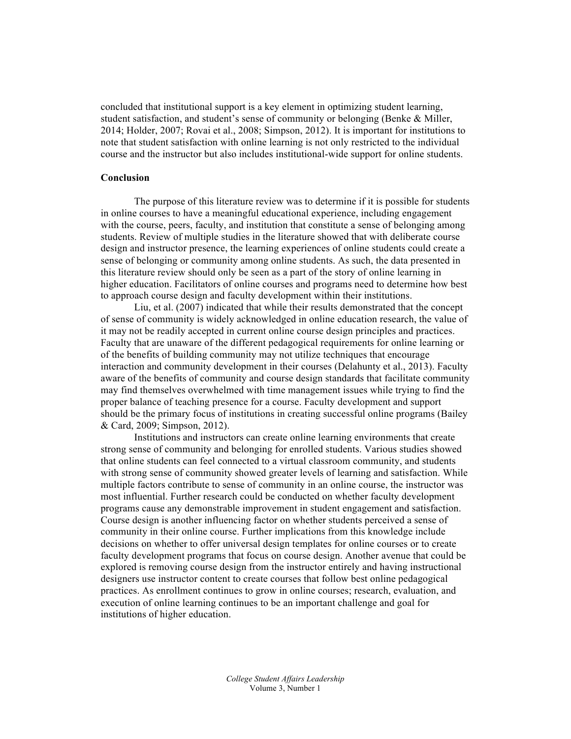concluded that institutional support is a key element in optimizing student learning, student satisfaction, and student's sense of community or belonging (Benke & Miller, 2014; Holder, 2007; Rovai et al., 2008; Simpson, 2012). It is important for institutions to note that student satisfaction with online learning is not only restricted to the individual course and the instructor but also includes institutional-wide support for online students.

#### **Conclusion**

The purpose of this literature review was to determine if it is possible for students in online courses to have a meaningful educational experience, including engagement with the course, peers, faculty, and institution that constitute a sense of belonging among students. Review of multiple studies in the literature showed that with deliberate course design and instructor presence, the learning experiences of online students could create a sense of belonging or community among online students. As such, the data presented in this literature review should only be seen as a part of the story of online learning in higher education. Facilitators of online courses and programs need to determine how best to approach course design and faculty development within their institutions.

Liu, et al. (2007) indicated that while their results demonstrated that the concept of sense of community is widely acknowledged in online education research, the value of it may not be readily accepted in current online course design principles and practices. Faculty that are unaware of the different pedagogical requirements for online learning or of the benefits of building community may not utilize techniques that encourage interaction and community development in their courses (Delahunty et al., 2013). Faculty aware of the benefits of community and course design standards that facilitate community may find themselves overwhelmed with time management issues while trying to find the proper balance of teaching presence for a course. Faculty development and support should be the primary focus of institutions in creating successful online programs (Bailey & Card, 2009; Simpson, 2012).

Institutions and instructors can create online learning environments that create strong sense of community and belonging for enrolled students. Various studies showed that online students can feel connected to a virtual classroom community, and students with strong sense of community showed greater levels of learning and satisfaction. While multiple factors contribute to sense of community in an online course, the instructor was most influential. Further research could be conducted on whether faculty development programs cause any demonstrable improvement in student engagement and satisfaction. Course design is another influencing factor on whether students perceived a sense of community in their online course. Further implications from this knowledge include decisions on whether to offer universal design templates for online courses or to create faculty development programs that focus on course design. Another avenue that could be explored is removing course design from the instructor entirely and having instructional designers use instructor content to create courses that follow best online pedagogical practices. As enrollment continues to grow in online courses; research, evaluation, and execution of online learning continues to be an important challenge and goal for institutions of higher education.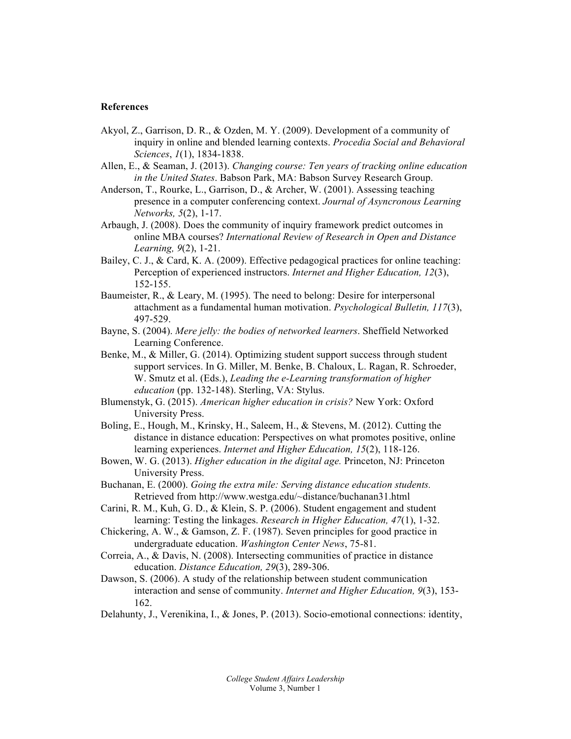#### **References**

- Akyol, Z., Garrison, D. R., & Ozden, M. Y. (2009). Development of a community of inquiry in online and blended learning contexts. *Procedia Social and Behavioral Sciences*, *1*(1), 1834-1838.
- Allen, E., & Seaman, J. (2013). *Changing course: Ten years of tracking online education in the United States*. Babson Park, MA: Babson Survey Research Group.
- Anderson, T., Rourke, L., Garrison, D., & Archer, W. (2001). Assessing teaching presence in a computer conferencing context. *Journal of Asyncronous Learning Networks, 5*(2), 1-17.
- Arbaugh, J. (2008). Does the community of inquiry framework predict outcomes in online MBA courses? *International Review of Research in Open and Distance Learning, 9*(2), 1-21.
- Bailey, C. J., & Card, K. A. (2009). Effective pedagogical practices for online teaching: Perception of experienced instructors. *Internet and Higher Education, 12*(3), 152-155.
- Baumeister, R., & Leary, M. (1995). The need to belong: Desire for interpersonal attachment as a fundamental human motivation. *Psychological Bulletin, 117*(3), 497-529.
- Bayne, S. (2004). *Mere jelly: the bodies of networked learners*. Sheffield Networked Learning Conference.
- Benke, M., & Miller, G. (2014). Optimizing student support success through student support services. In G. Miller, M. Benke, B. Chaloux, L. Ragan, R. Schroeder, W. Smutz et al. (Eds.), *Leading the e-Learning transformation of higher education* (pp. 132-148). Sterling, VA: Stylus.
- Blumenstyk, G. (2015). *American higher education in crisis?* New York: Oxford University Press.
- Boling, E., Hough, M., Krinsky, H., Saleem, H., & Stevens, M. (2012). Cutting the distance in distance education: Perspectives on what promotes positive, online learning experiences. *Internet and Higher Education, 15*(2), 118-126.
- Bowen, W. G. (2013). *Higher education in the digital age.* Princeton, NJ: Princeton University Press.
- Buchanan, E. (2000). *Going the extra mile: Serving distance education students.* Retrieved from http://www.westga.edu/~distance/buchanan31.html
- Carini, R. M., Kuh, G. D., & Klein, S. P. (2006). Student engagement and student learning: Testing the linkages. *Research in Higher Education, 47*(1), 1-32.
- Chickering, A. W., & Gamson, Z. F. (1987). Seven principles for good practice in undergraduate education. *Washington Center News*, 75-81.
- Correia, A., & Davis, N. (2008). Intersecting communities of practice in distance education. *Distance Education, 29*(3), 289-306.
- Dawson, S. (2006). A study of the relationship between student communication interaction and sense of community. *Internet and Higher Education, 9*(3), 153- 162.
- Delahunty, J., Verenikina, I., & Jones, P. (2013). Socio-emotional connections: identity,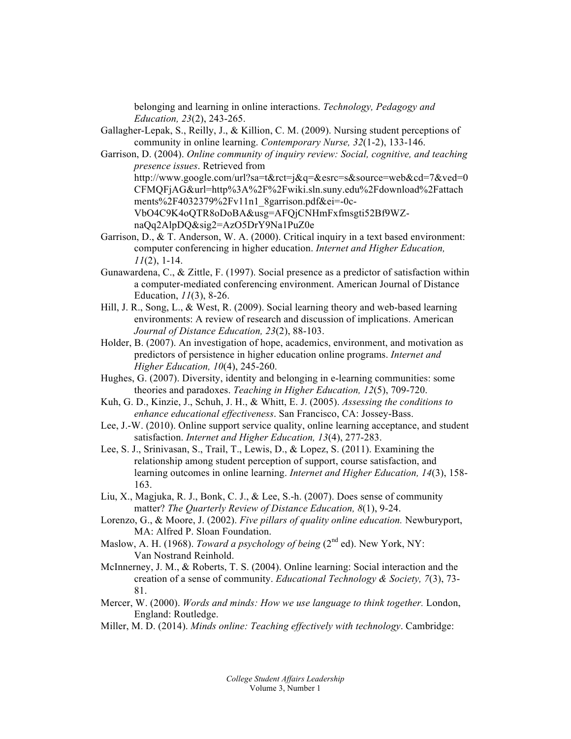belonging and learning in online interactions. *Technology, Pedagogy and Education, 23*(2), 243-265.

- Gallagher-Lepak, S., Reilly, J., & Killion, C. M. (2009). Nursing student perceptions of community in online learning. *Contemporary Nurse, 32*(1-2), 133-146.
- Garrison, D. (2004). *Online community of inquiry review: Social, cognitive, and teaching presence issues*. Retrieved from http://www.google.com/url?sa=t&rct=j&q=&esrc=s&source=web&cd=7&ved=0 CFMQFjAG&url=http%3A%2F%2Fwiki.sln.suny.edu%2Fdownload%2Fattach ments%2F4032379%2Fv11n1\_8garrison.pdf&ei=-0c-VbO4C9K4oQTR8oDoBA&usg=AFQjCNHmFxfmsgti52Bf9WZnaQq2AlpDQ&sig2=AzO5DrY9Na1PuZ0e
- Garrison, D., & T. Anderson, W. A. (2000). Critical inquiry in a text based environment: computer conferencing in higher education. *Internet and Higher Education, 11*(2), 1-14.
- Gunawardena, C., & Zittle, F. (1997). Social presence as a predictor of satisfaction within a computer-mediated conferencing environment. American Journal of Distance Education, *11*(3), 8-26.
- Hill, J. R., Song, L., & West, R. (2009). Social learning theory and web-based learning environments: A review of research and discussion of implications. American *Journal of Distance Education, 23*(2), 88-103.
- Holder, B. (2007). An investigation of hope, academics, environment, and motivation as predictors of persistence in higher education online programs. *Internet and Higher Education, 10*(4), 245-260.
- Hughes, G. (2007). Diversity, identity and belonging in e-learning communities: some theories and paradoxes. *Teaching in Higher Education, 12*(5), 709-720.
- Kuh, G. D., Kinzie, J., Schuh, J. H., & Whitt, E. J. (2005). *Assessing the conditions to enhance educational effectiveness*. San Francisco, CA: Jossey-Bass.
- Lee, J.-W. (2010). Online support service quality, online learning acceptance, and student satisfaction. *Internet and Higher Education, 13*(4), 277-283.
- Lee, S. J., Srinivasan, S., Trail, T., Lewis, D., & Lopez, S. (2011). Examining the relationship among student perception of support, course satisfaction, and learning outcomes in online learning. *Internet and Higher Education, 14*(3), 158- 163.
- Liu, X., Magjuka, R. J., Bonk, C. J., & Lee, S.-h. (2007). Does sense of community matter? *The Quarterly Review of Distance Education, 8*(1), 9-24.
- Lorenzo, G., & Moore, J. (2002). *Five pillars of quality online education.* Newburyport, MA: Alfred P. Sloan Foundation.
- Maslow, A. H. (1968). *Toward a psychology of being* (2<sup>nd</sup> ed). New York, NY: Van Nostrand Reinhold.
- McInnerney, J. M., & Roberts, T. S. (2004). Online learning: Social interaction and the creation of a sense of community. *Educational Technology & Society, 7*(3), 73- 81.
- Mercer, W. (2000). *Words and minds: How we use language to think together.* London, England: Routledge.
- Miller, M. D. (2014). *Minds online: Teaching effectively with technology*. Cambridge: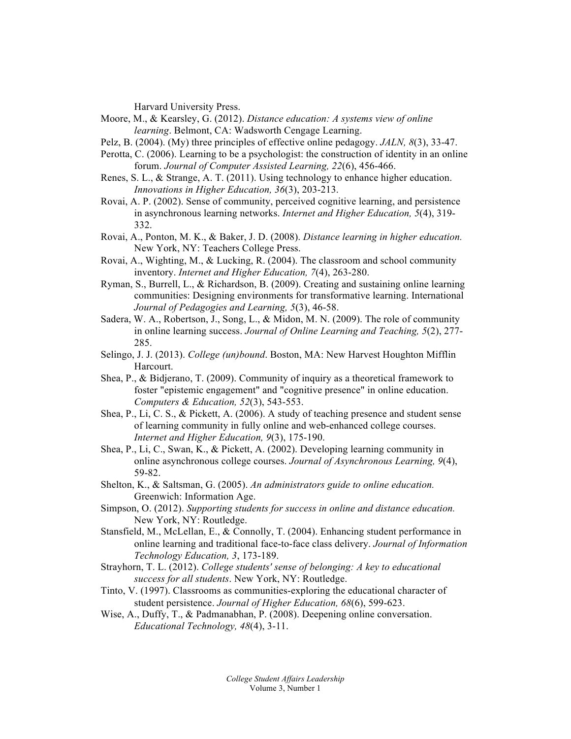Harvard University Press.

- Moore, M., & Kearsley, G. (2012). *Distance education: A systems view of online learning*. Belmont, CA: Wadsworth Cengage Learning.
- Pelz, B. (2004). (My) three principles of effective online pedagogy. *JALN, 8*(3), 33-47.
- Perotta, C. (2006). Learning to be a psychologist: the construction of identity in an online forum. *Journal of Computer Assisted Learning, 22*(6), 456-466.
- Renes, S. L., & Strange, A. T. (2011). Using technology to enhance higher education. *Innovations in Higher Education, 36*(3), 203-213.
- Rovai, A. P. (2002). Sense of community, perceived cognitive learning, and persistence in asynchronous learning networks. *Internet and Higher Education, 5*(4), 319- 332.
- Rovai, A., Ponton, M. K., & Baker, J. D. (2008). *Distance learning in higher education.* New York, NY: Teachers College Press.
- Rovai, A., Wighting, M., & Lucking, R. (2004). The classroom and school community inventory. *Internet and Higher Education, 7*(4), 263-280.
- Ryman, S., Burrell, L., & Richardson, B. (2009). Creating and sustaining online learning communities: Designing environments for transformative learning. International *Journal of Pedagogies and Learning, 5*(3), 46-58.
- Sadera, W. A., Robertson, J., Song, L., & Midon, M. N. (2009). The role of community in online learning success. *Journal of Online Learning and Teaching, 5*(2), 277- 285.
- Selingo, J. J. (2013). *College (un)bound*. Boston, MA: New Harvest Houghton Mifflin Harcourt.
- Shea, P., & Bidjerano, T. (2009). Community of inquiry as a theoretical framework to foster "epistemic engagement" and "cognitive presence" in online education. *Computers & Education, 52*(3), 543-553.
- Shea, P., Li, C. S., & Pickett, A. (2006). A study of teaching presence and student sense of learning community in fully online and web-enhanced college courses. *Internet and Higher Education, 9*(3), 175-190.
- Shea, P., Li, C., Swan, K., & Pickett, A. (2002). Developing learning community in online asynchronous college courses. *Journal of Asynchronous Learning, 9*(4), 59-82.
- Shelton, K., & Saltsman, G. (2005). *An administrators guide to online education.* Greenwich: Information Age.
- Simpson, O. (2012). *Supporting students for success in online and distance education.*  New York, NY: Routledge.
- Stansfield, M., McLellan, E., & Connolly, T. (2004). Enhancing student performance in online learning and traditional face-to-face class delivery. *Journal of Information Technology Education, 3*, 173-189.
- Strayhorn, T. L. (2012). *College students' sense of belonging: A key to educational success for all students*. New York, NY: Routledge.
- Tinto, V. (1997). Classrooms as communities-exploring the educational character of student persistence. *Journal of Higher Education, 68*(6), 599-623.
- Wise, A., Duffy, T., & Padmanabhan, P. (2008). Deepening online conversation. *Educational Technology, 48*(4), 3-11.